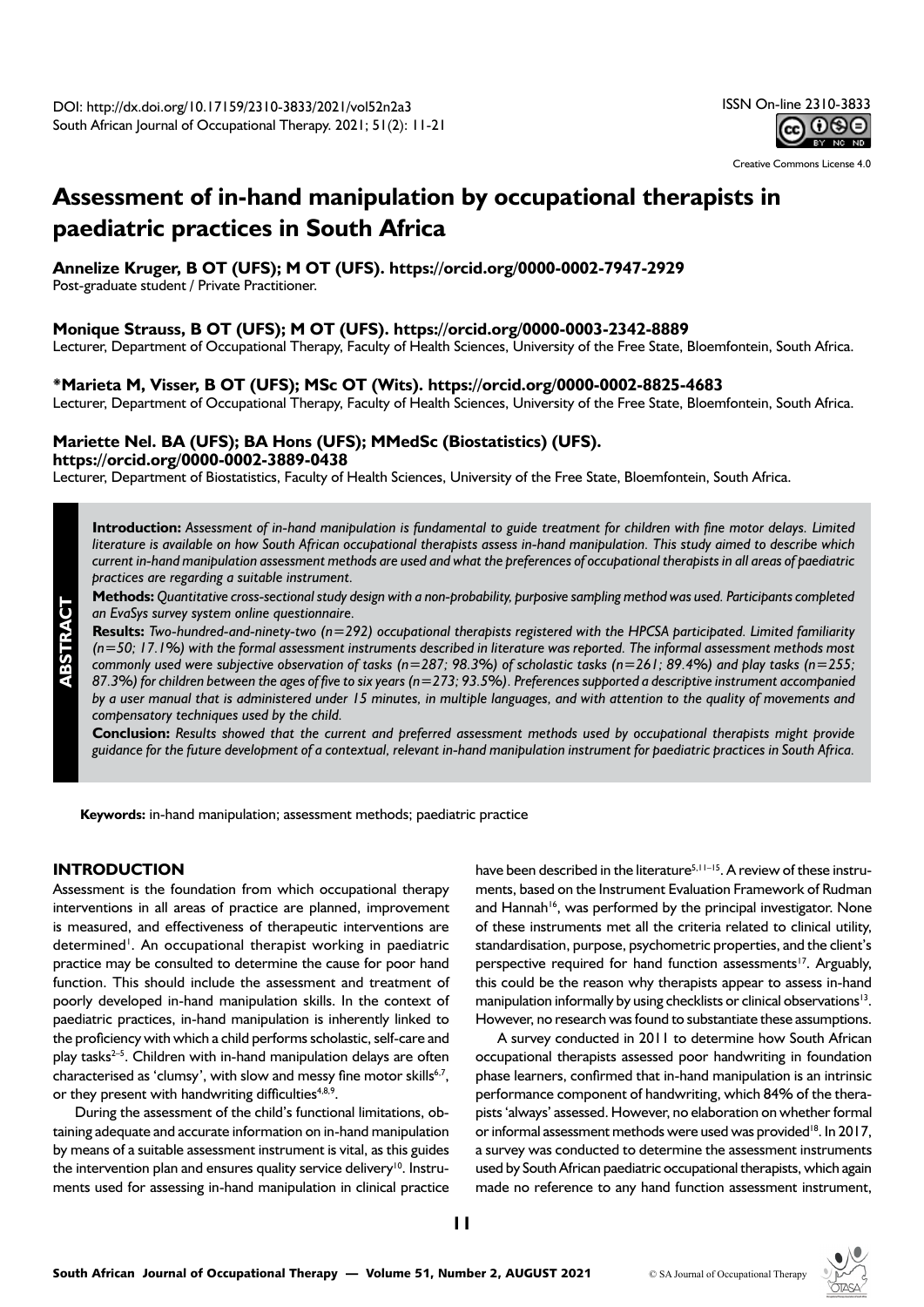

Creative Commons License 4.0

# **Assessment of in-hand manipulation by occupational therapists in paediatric practices in South Africa**

**Annelize Kruger, B OT (UFS); M OT (UFS). <https://orcid.org/0000-0002-7947-2929>**

Post-graduate student / Private Practitioner.

# **Monique Strauss, B OT (UFS); M OT (UFS). <https://orcid.org/0000-0003-2342-8889>**

Lecturer, Department of Occupational Therapy, Faculty of Health Sciences, University of the Free State, Bloemfontein, South Africa.

### **\*Marieta M, Visser, B OT (UFS); MSc OT (Wits). <https://orcid.org/0000-0002-8825-4683>**

Lecturer, Department of Occupational Therapy, Faculty of Health Sciences, University of the Free State, Bloemfontein, South Africa.

# **Mariette Nel. BA (UFS); BA Hons (UFS); MMedSc (Biostatistics) (UFS). <https://orcid.org/0000-0002-3889-0438>**

Lecturer, Department of Biostatistics, Faculty of Health Sciences, University of the Free State, Bloemfontein, South Africa.

**Introduction:** *Assessment of in-hand manipulation is fundamental to guide treatment for children with fine motor delays. Limited literature is available on how South African occupational therapists assess in-hand manipulation. This study aimed to describe which current in-hand manipulation assessment methods are used and what the preferences of occupational therapists in all areas of paediatric practices are regarding a suitable instrument.* 

**Methods:** *Quantitative cross-sectional study design with a non-probability, purposive sampling method was used. Participants completed an EvaSys survey system online questionnaire.* 

**Results:** *Two-hundred-and-ninety-two (n=292) occupational therapists registered with the HPCSA participated. Limited familiarity (n=50; 17.1%) with the formal assessment instruments described in literature was reported. The informal assessment methods most commonly used were subjective observation of tasks (n=287; 98.3%) of scholastic tasks (n=261; 89.4%) and play tasks (n=255; 87.3%) for children between the ages of five to six years (n=273; 93.5%). Preferences supported a descriptive instrument accompanied by a user manual that is administered under 15 minutes, in multiple languages, and with attention to the quality of movements and compensatory techniques used by the child.* 

**Conclusion:** *Results showed that the current and preferred assessment methods used by occupational therapists might provide guidance for the future development of a contextual, relevant in-hand manipulation instrument for paediatric practices in South Africa.* 

**Keywords:** in-hand manipulation; assessment methods; paediatric practice

### **INTRODUCTION**

**ABSTRACT**

Assessment is the foundation from which occupational therapy interventions in all areas of practice are planned, improvement is measured, and effectiveness of therapeutic interventions are determined<sup>1</sup>. An occupational therapist working in paediatric practice may be consulted to determine the cause for poor hand function. This should include the assessment and treatment of poorly developed in-hand manipulation skills. In the context of paediatric practices, in-hand manipulation is inherently linked to the proficiency with which a child performs scholastic, self-care and play tasks $2-5$ . Children with in-hand manipulation delays are often characterised as 'clumsy', with slow and messy fine motor skills<sup>6,7</sup>, or they present with handwriting difficulties $4,8,9$ .

During the assessment of the child's functional limitations, obtaining adequate and accurate information on in-hand manipulation by means of a suitable assessment instrument is vital, as this guides the intervention plan and ensures quality service delivery<sup>10</sup>. Instruments used for assessing in-hand manipulation in clinical practice have been described in the literature<sup>5, 11–15</sup>. A review of these instruments, based on the Instrument Evaluation Framework of Rudman and Hannah<sup>16</sup>, was performed by the principal investigator. None of these instruments met all the criteria related to clinical utility, standardisation, purpose, psychometric properties, and the client's perspective required for hand function assessments<sup>17</sup>. Arguably, this could be the reason why therapists appear to assess in-hand manipulation informally by using checklists or clinical observations<sup>13</sup>. However, no research was found to substantiate these assumptions.

A survey conducted in 2011 to determine how South African occupational therapists assessed poor handwriting in foundation phase learners, confirmed that in-hand manipulation is an intrinsic performance component of handwriting, which 84% of the therapists 'always' assessed. However, no elaboration on whether formal or informal assessment methods were used was provided<sup>18</sup>. In 2017, a survey was conducted to determine the assessment instruments used by South African paediatric occupational therapists, which again made no reference to any hand function assessment instrument,

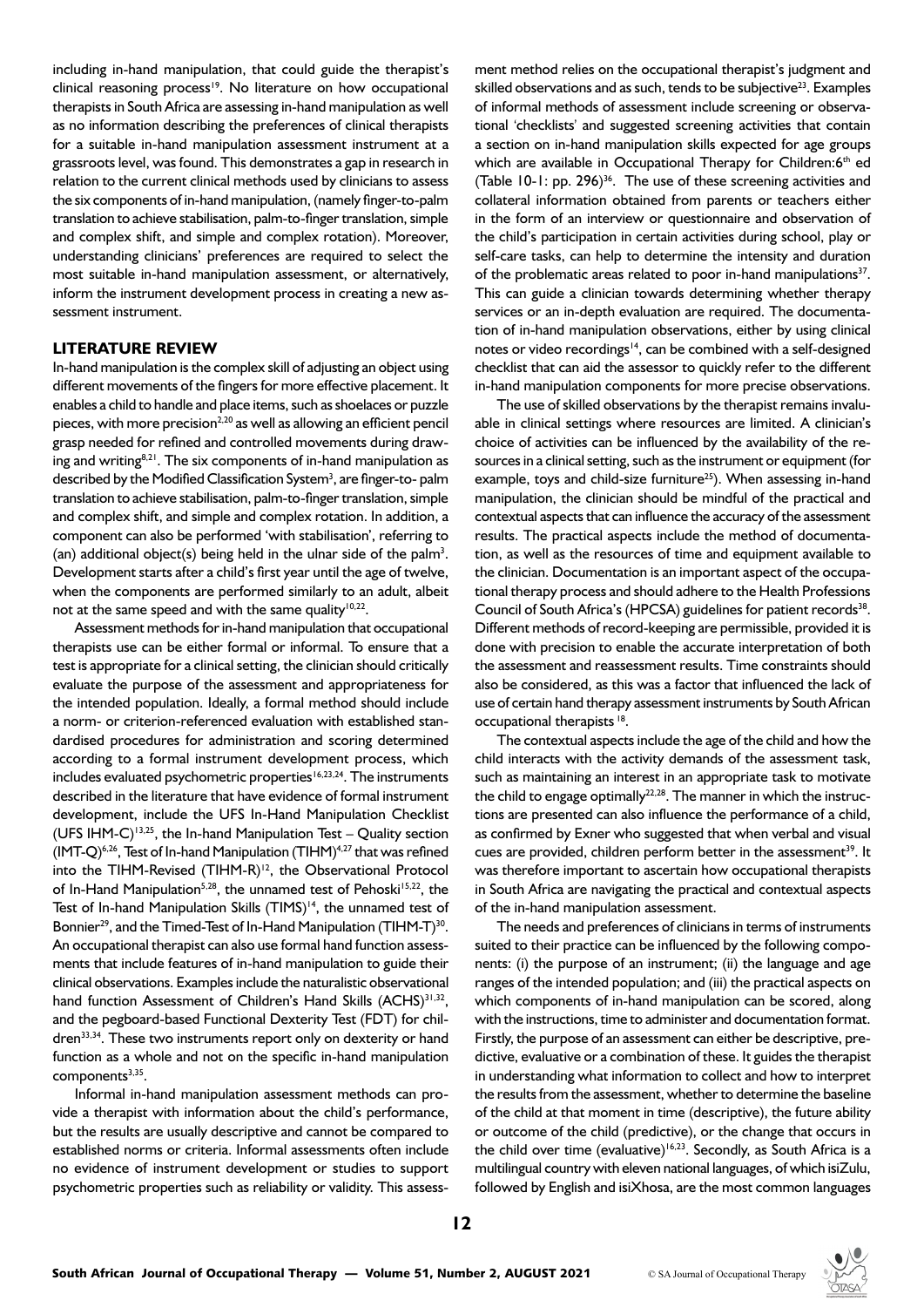including in-hand manipulation, that could guide the therapist's clinical reasoning process<sup>19</sup>. No literature on how occupational therapists in South Africa are assessing in-hand manipulation as well as no information describing the preferences of clinical therapists for a suitable in-hand manipulation assessment instrument at a grassroots level, was found. This demonstrates a gap in research in relation to the current clinical methods used by clinicians to assess the six components of in-hand manipulation, (namely finger-to-palm translation to achieve stabilisation, palm-to-finger translation, simple and complex shift, and simple and complex rotation). Moreover, understanding clinicians' preferences are required to select the most suitable in-hand manipulation assessment, or alternatively, inform the instrument development process in creating a new assessment instrument.

#### **LITERATURE REVIEW**

In-hand manipulation is the complex skill of adjusting an object using different movements of the fingers for more effective placement. It enables a child to handle and place items, such as shoelaces or puzzle pieces, with more precision<sup>2,20</sup> as well as allowing an efficient pencil grasp needed for refined and controlled movements during drawing and writing $8,21$ . The six components of in-hand manipulation as described by the Modified Classification System<sup>3</sup>, are finger-to- palm translation to achieve stabilisation, palm-to-finger translation, simple and complex shift, and simple and complex rotation. In addition, a component can also be performed 'with stabilisation', referring to (an) additional object(s) being held in the ulnar side of the palm<sup>3</sup>. Development starts after a child's first year until the age of twelve, when the components are performed similarly to an adult, albeit not at the same speed and with the same quality<sup>10,22</sup>.

Assessment methods for in-hand manipulation that occupational therapists use can be either formal or informal. To ensure that a test is appropriate for a clinical setting, the clinician should critically evaluate the purpose of the assessment and appropriateness for the intended population. Ideally, a formal method should include a norm- or criterion-referenced evaluation with established standardised procedures for administration and scoring determined according to a formal instrument development process, which includes evaluated psychometric properties<sup>16,23,24</sup>. The instruments described in the literature that have evidence of formal instrument development, include the UFS In-Hand Manipulation Checklist (UFS IHM-C)<sup>13,25</sup>, the In-hand Manipulation Test – Quality section (IMT-Q)<sup>6,26</sup>, Test of In-hand Manipulation (TIHM)<sup>4,27</sup> that was refined into the TIHM-Revised (TIHM-R)<sup>12</sup>, the Observational Protocol of In-Hand Manipulation<sup>5,28</sup>, the unnamed test of Pehoski<sup>15,22</sup>, the Test of In-hand Manipulation Skills (TIMS)<sup>14</sup>, the unnamed test of Bonnier<sup>29</sup>, and the Timed-Test of In-Hand Manipulation (TIHM-T)<sup>30</sup>. An occupational therapist can also use formal hand function assessments that include features of in-hand manipulation to guide their clinical observations. Examples include the naturalistic observational hand function Assessment of Children's Hand Skills (ACHS)<sup>31,32</sup>, and the pegboard-based Functional Dexterity Test (FDT) for children<sup>33,34</sup>. These two instruments report only on dexterity or hand function as a whole and not on the specific in-hand manipulation components $3,35$ .

Informal in-hand manipulation assessment methods can provide a therapist with information about the child's performance, but the results are usually descriptive and cannot be compared to established norms or criteria. Informal assessments often include no evidence of instrument development or studies to support psychometric properties such as reliability or validity. This assessment method relies on the occupational therapist's judgment and skilled observations and as such, tends to be subjective<sup>23</sup>. Examples of informal methods of assessment include screening or observational 'checklists' and suggested screening activities that contain a section on in-hand manipulation skills expected for age groups which are available in Occupational Therapy for Children:6th ed (Table 10-1: pp. 296)<sup>36</sup>. The use of these screening activities and collateral information obtained from parents or teachers either in the form of an interview or questionnaire and observation of the child's participation in certain activities during school, play or self-care tasks, can help to determine the intensity and duration of the problematic areas related to poor in-hand manipulations<sup>37</sup>. This can guide a clinician towards determining whether therapy services or an in-depth evaluation are required. The documentation of in-hand manipulation observations, either by using clinical notes or video recordings<sup>14</sup>, can be combined with a self-designed checklist that can aid the assessor to quickly refer to the different in-hand manipulation components for more precise observations.

The use of skilled observations by the therapist remains invaluable in clinical settings where resources are limited. A clinician's choice of activities can be influenced by the availability of the resources in a clinical setting, such as the instrument or equipment (for example, toys and child-size furniture<sup>25</sup>). When assessing in-hand manipulation, the clinician should be mindful of the practical and contextual aspects that can influence the accuracy of the assessment results. The practical aspects include the method of documentation, as well as the resources of time and equipment available to the clinician. Documentation is an important aspect of the occupational therapy process and should adhere to the Health Professions Council of South Africa's (HPCSA) guidelines for patient records<sup>38</sup>. Different methods of record-keeping are permissible, provided it is done with precision to enable the accurate interpretation of both the assessment and reassessment results. Time constraints should also be considered, as this was a factor that influenced the lack of use of certain hand therapy assessment instruments by South African occupational therapists 18.

The contextual aspects include the age of the child and how the child interacts with the activity demands of the assessment task, such as maintaining an interest in an appropriate task to motivate the child to engage optimally $22,28$ . The manner in which the instructions are presented can also influence the performance of a child, as confirmed by Exner who suggested that when verbal and visual cues are provided, children perform better in the assessment<sup>39</sup>. It was therefore important to ascertain how occupational therapists in South Africa are navigating the practical and contextual aspects of the in-hand manipulation assessment.

The needs and preferences of clinicians in terms of instruments suited to their practice can be influenced by the following components: (i) the purpose of an instrument; (ii) the language and age ranges of the intended population; and (iii) the practical aspects on which components of in-hand manipulation can be scored, along with the instructions, time to administer and documentation format. Firstly, the purpose of an assessment can either be descriptive, predictive, evaluative or a combination of these. It guides the therapist in understanding what information to collect and how to interpret the results from the assessment, whether to determine the baseline of the child at that moment in time (descriptive), the future ability or outcome of the child (predictive), or the change that occurs in the child over time (evaluative)<sup>16,23</sup>. Secondly, as South Africa is a multilingual country with eleven national languages, of which isiZulu, followed by English and isiXhosa, are the most common languages

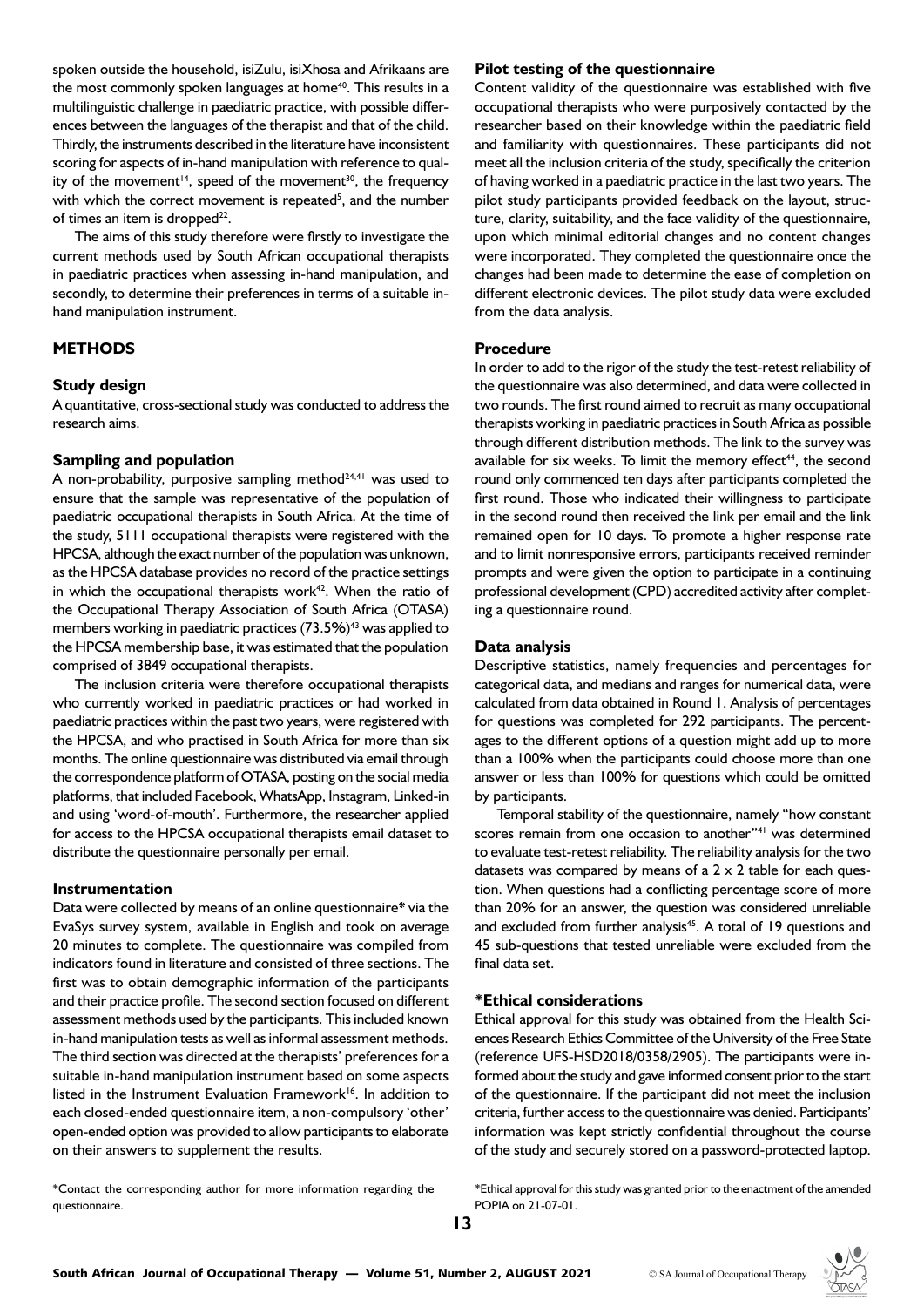spoken outside the household, isiZulu, isiXhosa and Afrikaans are the most commonly spoken languages at home<sup>40</sup>. This results in a multilinguistic challenge in paediatric practice, with possible differences between the languages of the therapist and that of the child. Thirdly, the instruments described in the literature have inconsistent scoring for aspects of in-hand manipulation with reference to quality of the movement<sup>14</sup>, speed of the movement<sup>30</sup>, the frequency with which the correct movement is repeated<sup>5</sup>, and the number of times an item is dropped<sup>22</sup>.

The aims of this study therefore were firstly to investigate the current methods used by South African occupational therapists in paediatric practices when assessing in-hand manipulation, and secondly, to determine their preferences in terms of a suitable inhand manipulation instrument.

## **METHODS**

#### **Study design**

A quantitative, cross-sectional study was conducted to address the research aims.

#### **Sampling and population**

A non-probability, purposive sampling method $24,41$  was used to ensure that the sample was representative of the population of paediatric occupational therapists in South Africa. At the time of the study, 5111 occupational therapists were registered with the HPCSA, although the exact number of the population was unknown, as the HPCSA database provides no record of the practice settings in which the occupational therapists work $42$ . When the ratio of the Occupational Therapy Association of South Africa (OTASA) members working in paediatric practices (73.5%)<sup>43</sup> was applied to the HPCSA membership base, it was estimated that the population comprised of 3849 occupational therapists.

The inclusion criteria were therefore occupational therapists who currently worked in paediatric practices or had worked in paediatric practices within the past two years, were registered with the HPCSA, and who practised in South Africa for more than six months. The online questionnaire was distributed via email through the correspondence platform of OTASA, posting on the social media platforms, that included Facebook, WhatsApp, Instagram, Linked-in and using 'word-of-mouth'. Furthermore, the researcher applied for access to the HPCSA occupational therapists email dataset to distribute the questionnaire personally per email.

#### **Instrumentation**

Data were collected by means of an online questionnaire\* via the EvaSys survey system, available in English and took on average 20 minutes to complete. The questionnaire was compiled from indicators found in literature and consisted of three sections. The first was to obtain demographic information of the participants and their practice profile. The second section focused on different assessment methods used by the participants. This included known in-hand manipulation tests as well as informal assessment methods. The third section was directed at the therapists' preferences for a suitable in-hand manipulation instrument based on some aspects listed in the Instrument Evaluation Framework<sup>16</sup>. In addition to each closed-ended questionnaire item, a non-compulsory 'other' open-ended option was provided to allow participants to elaborate on their answers to supplement the results.

\*Contact the corresponding author for more information regarding the questionnaire.

#### **Pilot testing of the questionnaire**

Content validity of the questionnaire was established with five occupational therapists who were purposively contacted by the researcher based on their knowledge within the paediatric field and familiarity with questionnaires. These participants did not meet all the inclusion criteria of the study, specifically the criterion of having worked in a paediatric practice in the last two years. The pilot study participants provided feedback on the layout, structure, clarity, suitability, and the face validity of the questionnaire, upon which minimal editorial changes and no content changes were incorporated. They completed the questionnaire once the changes had been made to determine the ease of completion on different electronic devices. The pilot study data were excluded from the data analysis.

#### **Procedure**

In order to add to the rigor of the study the test-retest reliability of the questionnaire was also determined, and data were collected in two rounds. The first round aimed to recruit as many occupational therapists working in paediatric practices in South Africa as possible through different distribution methods. The link to the survey was available for six weeks. To limit the memory effect $44$ , the second round only commenced ten days after participants completed the first round. Those who indicated their willingness to participate in the second round then received the link per email and the link remained open for 10 days. To promote a higher response rate and to limit nonresponsive errors, participants received reminder prompts and were given the option to participate in a continuing professional development (CPD) accredited activity after completing a questionnaire round.

#### **Data analysis**

Descriptive statistics, namely frequencies and percentages for categorical data, and medians and ranges for numerical data, were calculated from data obtained in Round 1. Analysis of percentages for questions was completed for 292 participants. The percentages to the different options of a question might add up to more than a 100% when the participants could choose more than one answer or less than 100% for questions which could be omitted by participants.

Temporal stability of the questionnaire, namely "how constant scores remain from one occasion to another"<sup>41</sup> was determined to evaluate test-retest reliability. The reliability analysis for the two datasets was compared by means of a 2 x 2 table for each question. When questions had a conflicting percentage score of more than 20% for an answer, the question was considered unreliable and excluded from further analysis<sup>45</sup>. A total of 19 questions and 45 sub-questions that tested unreliable were excluded from the final data set.

#### **\*Ethical considerations**

Ethical approval for this study was obtained from the Health Sciences Research Ethics Committee of the University of the Free State (reference UFS-HSD2018/0358/2905). The participants were informed about the study and gave informed consent prior to the start of the questionnaire. If the participant did not meet the inclusion criteria, further access to the questionnaire was denied. Participants' information was kept strictly confidential throughout the course of the study and securely stored on a password-protected laptop.

\*Ethical approval for this study was granted prior to the enactment of the amended POPIA on 21-07-01.

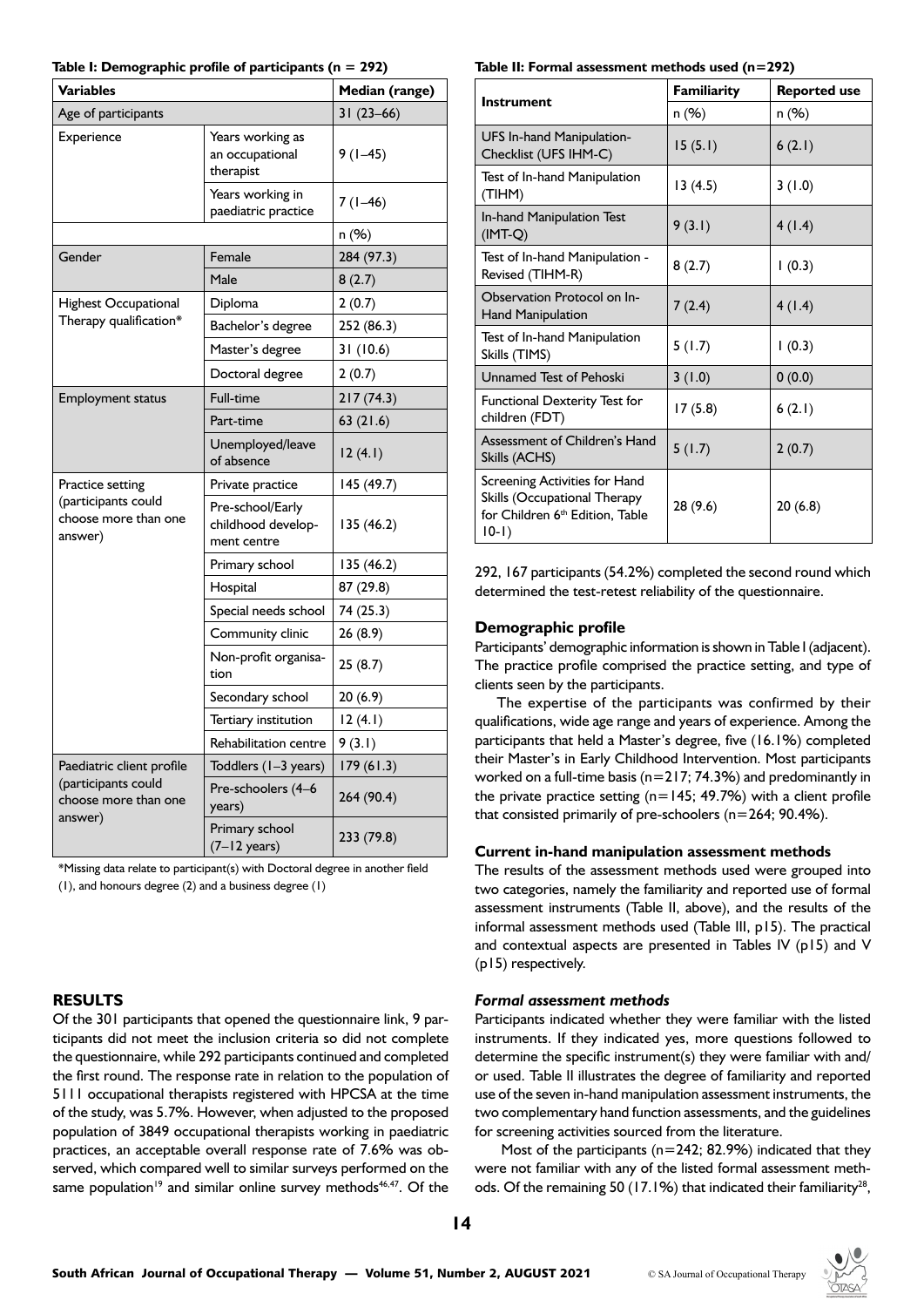| <b>Variables</b>                                       | Median (range)                                        |             |
|--------------------------------------------------------|-------------------------------------------------------|-------------|
| Age of participants                                    |                                                       | $31(23-66)$ |
| Experience                                             | Years working as<br>an occupational<br>therapist      | $9(1-45)$   |
|                                                        | Years working in<br>paediatric practice               | $7(1-46)$   |
|                                                        |                                                       | n (%)       |
| Gender                                                 | Female                                                | 284 (97.3)  |
|                                                        | Male                                                  | 8(2.7)      |
| <b>Highest Occupational</b>                            | Diploma                                               | 2(0.7)      |
| Therapy qualification*                                 | Bachelor's degree                                     | 252 (86.3)  |
|                                                        | Master's degree                                       | 31(10.6)    |
|                                                        | Doctoral degree                                       | 2(0.7)      |
| <b>Employment status</b>                               | Full-time                                             | 217(74.3)   |
|                                                        | Part-time                                             | 63 (21.6)   |
|                                                        | Unemployed/leave<br>of absence                        | 12(4.1)     |
| Practice setting                                       | Private practice                                      | 145 (49.7)  |
| (participants could<br>choose more than one<br>answer) | Pre-school/Early<br>childhood develop-<br>ment centre | 135 (46.2)  |
|                                                        | Primary school                                        | 135 (46.2)  |
|                                                        | Hospital                                              | 87 (29.8)   |
|                                                        | Special needs school                                  | 74 (25.3)   |
|                                                        | Community clinic                                      | 26(8.9)     |
|                                                        | Non-profit organisa-<br>tion                          | 25(8.7)     |
|                                                        | Secondary school                                      | 20(6.9)     |
|                                                        | Tertiary institution                                  | 12(4.1)     |
|                                                        | Rehabilitation centre                                 | 9 (3.I)     |
| Paediatric client profile                              | Toddlers (1-3 years)                                  | 179(61.3)   |
| (participants could<br>choose more than one<br>answer) | Pre-schoolers (4-6<br>years)                          | 264 (90.4)  |
|                                                        | Primary school<br>$(7-12 \text{ years})$              | 233 (79.8)  |

\*Missing data relate to participant(s) with Doctoral degree in another field (1), and honours degree (2) and a business degree (1)

# **RESULTS**

Of the 301 participants that opened the questionnaire link, 9 participants did not meet the inclusion criteria so did not complete the questionnaire, while 292 participants continued and completed the first round. The response rate in relation to the population of 5111 occupational therapists registered with HPCSA at the time of the study, was 5.7%. However, when adjusted to the proposed population of 3849 occupational therapists working in paediatric practices, an acceptable overall response rate of 7.6% was observed, which compared well to similar surveys performed on the same population<sup>19</sup> and similar online survey methods<sup>46,47</sup>. Of the

**Table II: Formal assessment methods used (n=292)**

|                                                                                                                               | Familiarity | <b>Reported use</b> |
|-------------------------------------------------------------------------------------------------------------------------------|-------------|---------------------|
| <b>Instrument</b>                                                                                                             | n (%)       | n (%)               |
| UFS In-hand Manipulation-<br>Checklist (UFS IHM-C)                                                                            | 15(5.1)     | 6(2.1)              |
| Test of In-hand Manipulation<br>(TIHM)                                                                                        | 13(4.5)     | 3(1.0)              |
| In-hand Manipulation Test<br>$(IMT-Q)$                                                                                        | 9(3.1)      | 4(1.4)              |
| Test of In-hand Manipulation -<br>Revised (TIHM-R)                                                                            | 8(2.7)      | 1(0.3)              |
| Observation Protocol on In-<br><b>Hand Manipulation</b>                                                                       | 7(2.4)      | 4(1.4)              |
| Test of In-hand Manipulation<br>Skills (TIMS)                                                                                 | 5(1.7)      | 1(0.3)              |
| Unnamed Test of Pehoski                                                                                                       | 3(1.0)      | 0(0.0)              |
| <b>Functional Dexterity Test for</b><br>children (FDT)                                                                        | 17(5.8)     | 6(2.1)              |
| Assessment of Children's Hand<br>Skills (ACHS)                                                                                | 5(1.7)      | 2(0.7)              |
| Screening Activities for Hand<br>Skills (Occupational Therapy<br>for Children 6 <sup>th</sup> Edition, Table<br>$ 0-1\rangle$ | 28 (9.6)    | 20(6.8)             |

292, 167 participants (54.2%) completed the second round which determined the test-retest reliability of the questionnaire.

#### **Demographic profile**

Participants' demographic information is shown in Table I (adjacent). The practice profile comprised the practice setting, and type of clients seen by the participants.

The expertise of the participants was confirmed by their qualifications, wide age range and years of experience. Among the participants that held a Master's degree, five (16.1%) completed their Master's in Early Childhood Intervention. Most participants worked on a full-time basis ( $n=217$ ; 74.3%) and predominantly in the private practice setting ( $n=145$ ; 49.7%) with a client profile that consisted primarily of pre-schoolers (n=264; 90.4%).

#### **Current in-hand manipulation assessment methods**

The results of the assessment methods used were grouped into two categories, namely the familiarity and reported use of formal assessment instruments (Table II, above), and the results of the informal assessment methods used (Table III, p15). The practical and contextual aspects are presented in Tables IV (p15) and V (p15) respectively.

#### *Formal assessment methods*

Participants indicated whether they were familiar with the listed instruments. If they indicated yes, more questions followed to determine the specific instrument(s) they were familiar with and/ or used. Table II illustrates the degree of familiarity and reported use of the seven in-hand manipulation assessment instruments, the two complementary hand function assessments, and the guidelines for screening activities sourced from the literature.

Most of the participants ( $n=242$ ; 82.9%) indicated that they were not familiar with any of the listed formal assessment methods. Of the remaining 50 (17.1%) that indicated their familiarity<sup>28</sup>,

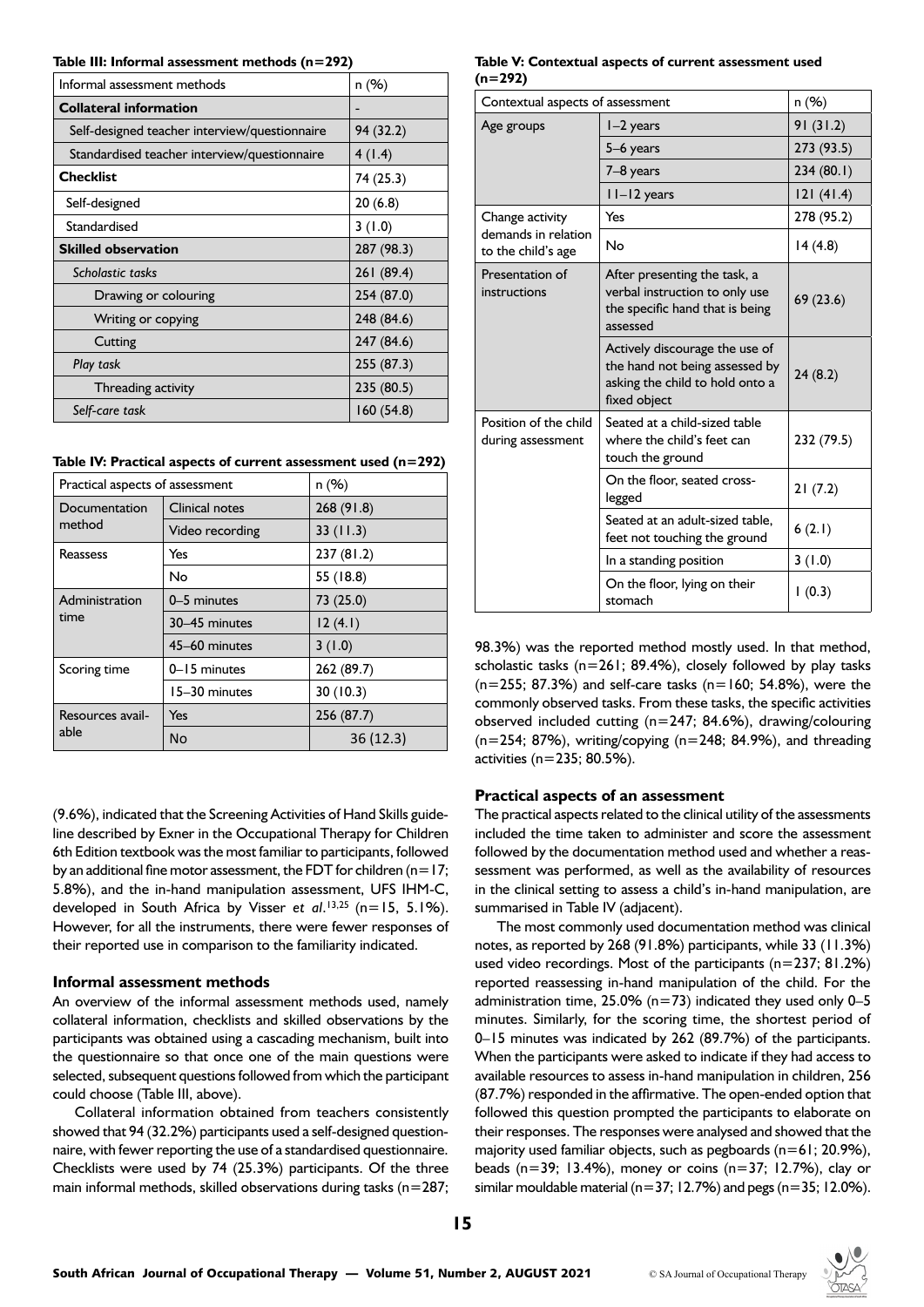**Table III: Informal assessment methods (n=292)**

| Informal assessment methods                   | n (%)      |
|-----------------------------------------------|------------|
| <b>Collateral information</b>                 |            |
| Self-designed teacher interview/questionnaire | 94 (32.2)  |
| Standardised teacher interview/questionnaire  | 4(1.4)     |
| <b>Checklist</b>                              | 74 (25.3)  |
| Self-designed                                 | 20(6.8)    |
| Standardised                                  | 3(1.0)     |
| <b>Skilled observation</b>                    | 287 (98.3) |
| Scholastic tasks                              | 261 (89.4) |
| Drawing or colouring                          | 254 (87.0) |
| Writing or copying                            | 248 (84.6) |
| Cutting                                       | 247 (84.6) |
| Play task                                     | 255 (87.3) |
| Threading activity                            | 235 (80.5) |
| Self-care task                                | 160(54.8)  |

|  |  |  |  |  | Table IV: Practical aspects of current assessment used $(n=292)$ |  |  |
|--|--|--|--|--|------------------------------------------------------------------|--|--|
|--|--|--|--|--|------------------------------------------------------------------|--|--|

| Practical aspects of assessment | n(%)            |            |
|---------------------------------|-----------------|------------|
| Documentation                   | Clinical notes  | 268(91.8)  |
| method                          | Video recording | 33(11.3)   |
| Reassess                        | Yes             | 237(81.2)  |
|                                 | N <sub>o</sub>  | 55 (18.8)  |
| Administration                  | 0-5 minutes     | 73 (25.0)  |
| time                            | 30-45 minutes   | 12(4.1)    |
|                                 | 45-60 minutes   | 3(1.0)     |
| Scoring time                    | 0-15 minutes    | 262 (89.7) |
|                                 | 15-30 minutes   | 30(10.3)   |
| Resources avail-                | Yes             | 256 (87.7) |
| able                            | No              | 36(12.3)   |

(9.6%), indicated that the Screening Activities of Hand Skills guideline described by Exner in the Occupational Therapy for Children 6th Edition textbook was the most familiar to participants, followed by an additional fine motor assessment, the FDT for children ( $n=17$ ; 5.8%), and the in-hand manipulation assessment, UFS IHM-C, developed in South Africa by Visser *et al*. 13,25 (n=15, 5.1%). However, for all the instruments, there were fewer responses of their reported use in comparison to the familiarity indicated.

### **Informal assessment methods**

An overview of the informal assessment methods used, namely collateral information, checklists and skilled observations by the participants was obtained using a cascading mechanism, built into the questionnaire so that once one of the main questions were selected, subsequent questions followed from which the participant could choose (Table III, above).

Collateral information obtained from teachers consistently showed that 94 (32.2%) participants used a self-designed questionnaire, with fewer reporting the use of a standardised questionnaire. Checklists were used by 74 (25.3%) participants. Of the three main informal methods, skilled observations during tasks ( $n=287$ ;

#### **Table V: Contextual aspects of current assessment used (n=292)**

| Contextual aspects of assessment           | n (%)                                                                                                               |            |
|--------------------------------------------|---------------------------------------------------------------------------------------------------------------------|------------|
| Age groups                                 | l-2 years                                                                                                           | 91(31.2)   |
|                                            | 5–6 years                                                                                                           | 273 (93.5) |
|                                            | 7–8 years                                                                                                           | 234(80.1)  |
|                                            | II-I2 years                                                                                                         | 121(41.4)  |
| Change activity                            | Yes                                                                                                                 | 278 (95.2) |
| demands in relation<br>to the child's age  | No                                                                                                                  | 14(4.8)    |
| Presentation of<br>instructions            | After presenting the task, a<br>verbal instruction to only use<br>the specific hand that is being<br>assessed       | 69(23.6)   |
|                                            | Actively discourage the use of<br>the hand not being assessed by<br>asking the child to hold onto a<br>fixed object | 24(8.2)    |
| Position of the child<br>during assessment | Seated at a child-sized table<br>where the child's feet can<br>touch the ground                                     | 232 (79.5) |
|                                            | On the floor, seated cross-<br>legged                                                                               | 21(7.2)    |
|                                            | Seated at an adult-sized table.<br>feet not touching the ground                                                     | 6(2.1)     |
|                                            | In a standing position                                                                                              | 3(1.0)     |
|                                            | On the floor, lying on their<br>stomach                                                                             | (0.3)      |

98.3%) was the reported method mostly used. In that method, scholastic tasks (n=261; 89.4%), closely followed by play tasks  $(n=255; 87.3%)$  and self-care tasks  $(n=160; 54.8%)$ , were the commonly observed tasks. From these tasks, the specific activities observed included cutting (n=247; 84.6%), drawing/colouring  $(n=254; 87%)$ , writing/copying  $(n=248; 84.9%)$ , and threading activities (n=235; 80.5%).

#### **Practical aspects of an assessment**

The practical aspects related to the clinical utility of the assessments included the time taken to administer and score the assessment followed by the documentation method used and whether a reassessment was performed, as well as the availability of resources in the clinical setting to assess a child's in-hand manipulation, are summarised in Table IV (adjacent).

The most commonly used documentation method was clinical notes, as reported by 268 (91.8%) participants, while 33 (11.3%) used video recordings. Most of the participants (n=237; 81.2%) reported reassessing in-hand manipulation of the child. For the administration time,  $25.0\%$  (n=73) indicated they used only 0-5 minutes. Similarly, for the scoring time, the shortest period of 0–15 minutes was indicated by 262 (89.7%) of the participants. When the participants were asked to indicate if they had access to available resources to assess in-hand manipulation in children, 256 (87.7%) responded in the affirmative. The open-ended option that followed this question prompted the participants to elaborate on their responses. The responses were analysed and showed that the majority used familiar objects, such as pegboards  $(n=61; 20.9\%)$ . beads (n=39; 13.4%), money or coins (n=37; 12.7%), clay or similar mouldable material ( $n=37$ ; 12.7%) and pegs ( $n=35$ ; 12.0%).

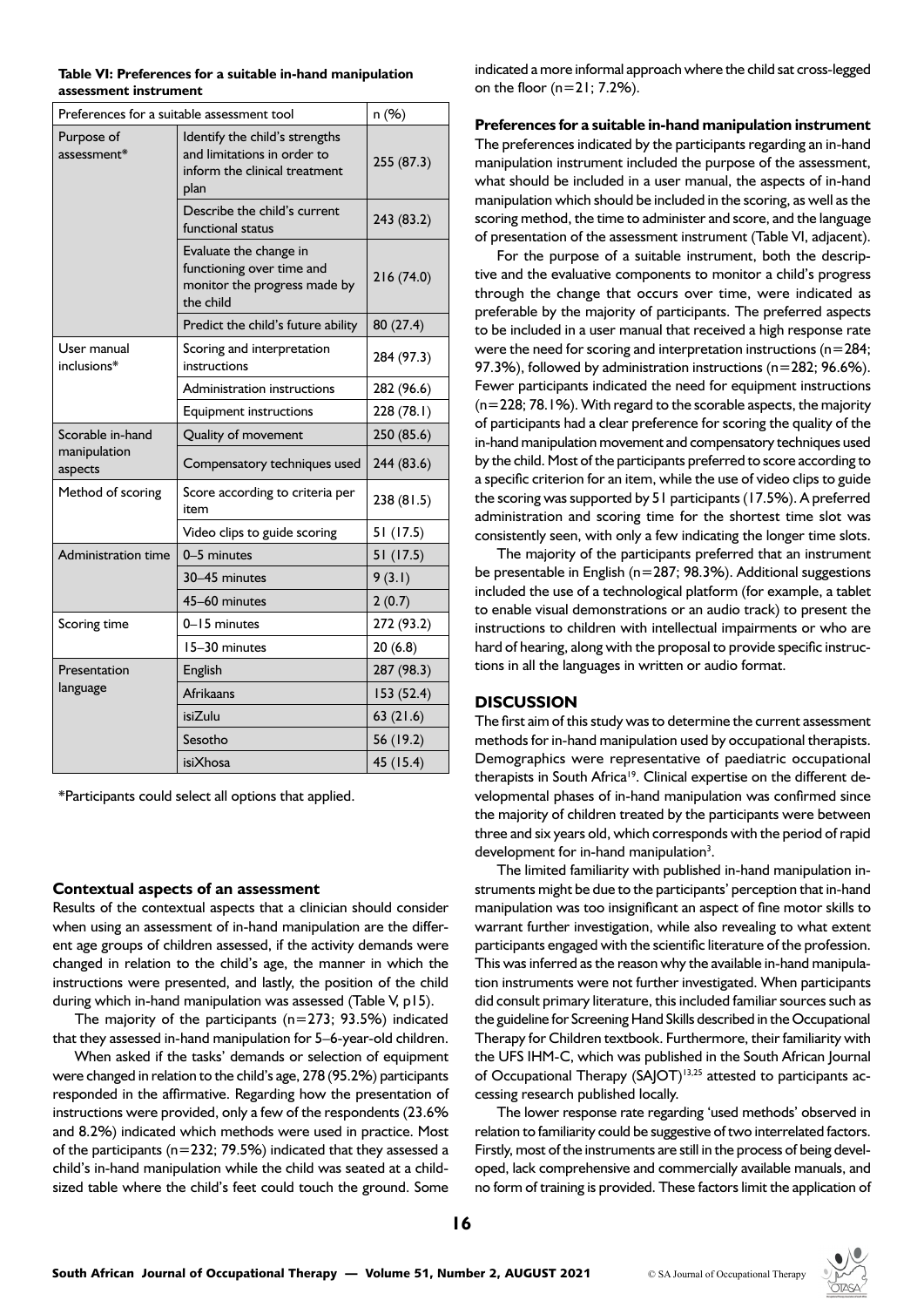| Preferences for a suitable assessment tool | n (%)                                                                                                  |            |
|--------------------------------------------|--------------------------------------------------------------------------------------------------------|------------|
| Purpose of<br>assessment*                  | Identify the child's strengths<br>and limitations in order to<br>inform the clinical treatment<br>plan | 255 (87.3) |
|                                            | Describe the child's current<br>functional status                                                      | 243 (83.2) |
|                                            | Evaluate the change in<br>functioning over time and<br>monitor the progress made by<br>the child       | 216 (74.0) |
|                                            | Predict the child's future ability                                                                     | 80(27.4)   |
| User manual<br>inclusions*                 | Scoring and interpretation<br>instructions                                                             | 284 (97.3) |
|                                            | Administration instructions                                                                            | 282 (96.6) |
|                                            | <b>Equipment instructions</b>                                                                          | 228 (78.1) |
| Scorable in-hand                           | Quality of movement                                                                                    | 250 (85.6) |
| manipulation<br>aspects                    | Compensatory techniques used                                                                           | 244 (83.6) |
| Method of scoring                          | Score according to criteria per<br>item                                                                | 238 (81.5) |
|                                            | Video clips to guide scoring                                                                           | 51 (17.5)  |
| Administration time                        | 0-5 minutes                                                                                            | 51 (17.5)  |
|                                            | 30-45 minutes                                                                                          | 9(3.1)     |
|                                            | 45-60 minutes                                                                                          | 2(0.7)     |
| Scoring time                               | 0-15 minutes                                                                                           | 272 (93.2) |
|                                            | 15-30 minutes                                                                                          | 20(6.8)    |
| Presentation                               | English                                                                                                | 287 (98.3) |
| language                                   | Afrikaans                                                                                              | 153(52.4)  |
|                                            | isiZulu                                                                                                | 63(21.6)   |
|                                            | Sesotho                                                                                                | 56 (19.2)  |
|                                            | isiXhosa                                                                                               | 45 (15.4)  |

**Table VI: Preferences for a suitable in-hand manipulation assessment instrument**

\*Participants could select all options that applied.

#### **Contextual aspects of an assessment**

Results of the contextual aspects that a clinician should consider when using an assessment of in-hand manipulation are the different age groups of children assessed, if the activity demands were changed in relation to the child's age, the manner in which the instructions were presented, and lastly, the position of the child during which in-hand manipulation was assessed (Table V, p15).

The majority of the participants ( $n=273$ ; 93.5%) indicated that they assessed in-hand manipulation for 5–6-year-old children.

When asked if the tasks' demands or selection of equipment were changed in relation to the child's age, 278 (95.2%) participants responded in the affirmative. Regarding how the presentation of instructions were provided, only a few of the respondents (23.6% and 8.2%) indicated which methods were used in practice. Most of the participants ( $n=232$ ; 79.5%) indicated that they assessed a child's in-hand manipulation while the child was seated at a childsized table where the child's feet could touch the ground. Some

indicated a more informal approach where the child sat cross-legged on the floor  $(n=21; 7.2%)$ .

**Preferences for a suitable in-hand manipulation instrument** 

The preferences indicated by the participants regarding an in-hand manipulation instrument included the purpose of the assessment, what should be included in a user manual, the aspects of in-hand manipulation which should be included in the scoring, as well as the scoring method, the time to administer and score, and the language of presentation of the assessment instrument (Table VI, adjacent).

For the purpose of a suitable instrument, both the descriptive and the evaluative components to monitor a child's progress through the change that occurs over time, were indicated as preferable by the majority of participants. The preferred aspects to be included in a user manual that received a high response rate were the need for scoring and interpretation instructions (n=284; 97.3%), followed by administration instructions (n=282; 96.6%). Fewer participants indicated the need for equipment instructions  $(n=228; 78.1%)$ . With regard to the scorable aspects, the majority of participants had a clear preference for scoring the quality of the in-hand manipulation movement and compensatory techniques used by the child. Most of the participants preferred to score according to a specific criterion for an item, while the use of video clips to guide the scoring was supported by 51 participants (17.5%). A preferred administration and scoring time for the shortest time slot was consistently seen, with only a few indicating the longer time slots.

The majority of the participants preferred that an instrument be presentable in English (n=287; 98.3%). Additional suggestions included the use of a technological platform (for example, a tablet to enable visual demonstrations or an audio track) to present the instructions to children with intellectual impairments or who are hard of hearing, along with the proposal to provide specific instructions in all the languages in written or audio format.

#### **DISCUSSION**

The first aim of this study was to determine the current assessment methods for in-hand manipulation used by occupational therapists. Demographics were representative of paediatric occupational therapists in South Africa<sup>19</sup>. Clinical expertise on the different developmental phases of in-hand manipulation was confirmed since the majority of children treated by the participants were between three and six years old, which corresponds with the period of rapid development for in-hand manipulation<sup>3</sup>.

The limited familiarity with published in-hand manipulation instruments might be due to the participants' perception that in-hand manipulation was too insignificant an aspect of fine motor skills to warrant further investigation, while also revealing to what extent participants engaged with the scientific literature of the profession. This was inferred as the reason why the available in-hand manipulation instruments were not further investigated. When participants did consult primary literature, this included familiar sources such as the guideline for Screening Hand Skills described in the Occupational Therapy for Children textbook. Furthermore, their familiarity with the UFS IHM-C, which was published in the South African Journal of Occupational Therapy (SAJOT)<sup>13,25</sup> attested to participants accessing research published locally.

The lower response rate regarding 'used methods' observed in relation to familiarity could be suggestive of two interrelated factors. Firstly, most of the instruments are still in the process of being developed, lack comprehensive and commercially available manuals, and no form of training is provided. These factors limit the application of

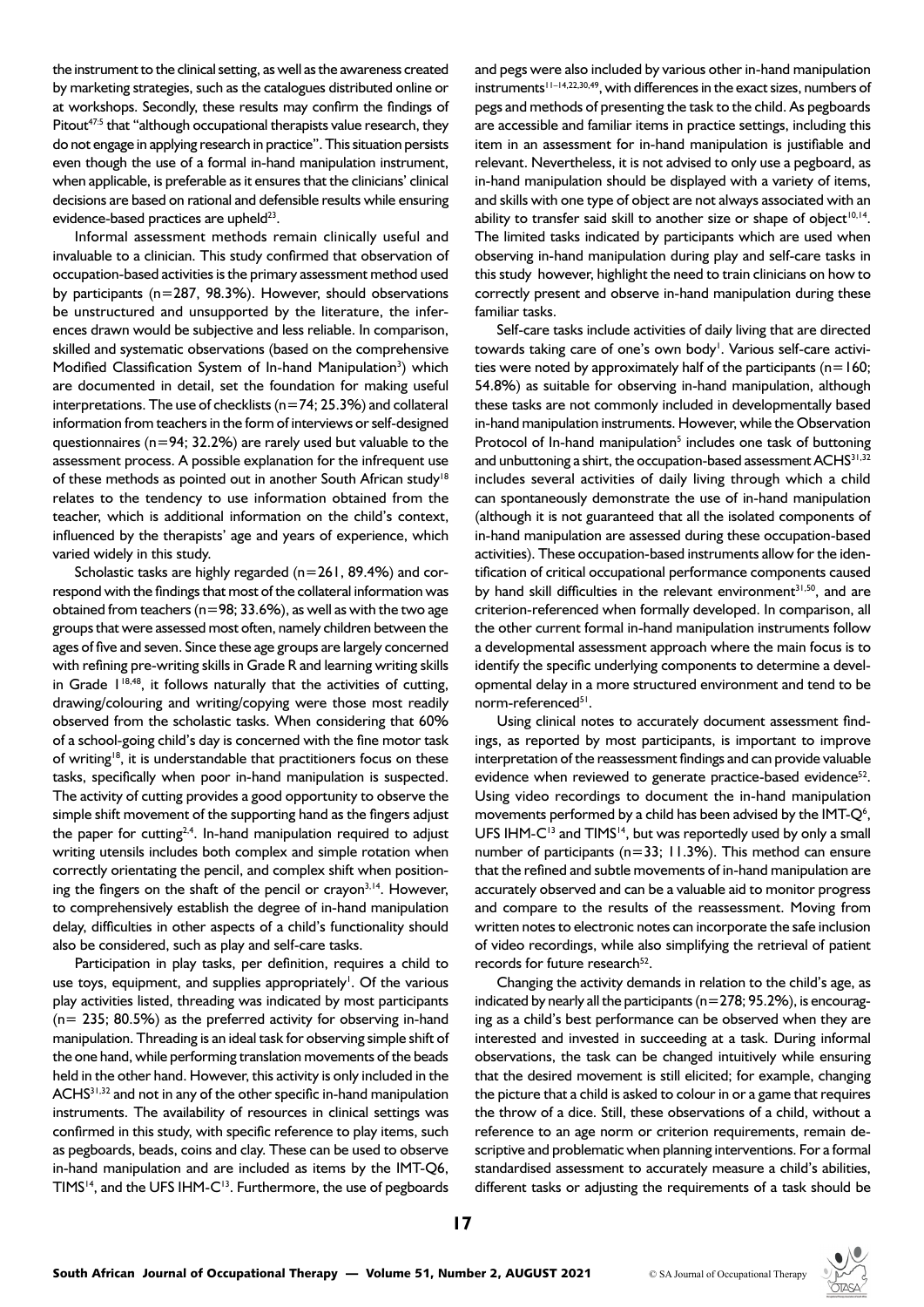the instrument to the clinical setting, as well as the awareness created by marketing strategies, such as the catalogues distributed online or at workshops. Secondly, these results may confirm the findings of Pitout<sup>47:5</sup> that "although occupational therapists value research, they do not engage in applying research in practice". This situation persists even though the use of a formal in-hand manipulation instrument, when applicable, is preferable as it ensures that the clinicians' clinical decisions are based on rational and defensible results while ensuring evidence-based practices are upheld<sup>23</sup>.

Informal assessment methods remain clinically useful and invaluable to a clinician. This study confirmed that observation of occupation-based activities is the primary assessment method used by participants (n=287, 98.3%). However, should observations be unstructured and unsupported by the literature, the inferences drawn would be subjective and less reliable. In comparison, skilled and systematic observations (based on the comprehensive Modified Classification System of In-hand Manipulation<sup>3</sup>) which are documented in detail, set the foundation for making useful interpretations. The use of checklists ( $n=74$ ; 25.3%) and collateral information from teachers in the form of interviews or self-designed questionnaires (n=94; 32.2%) are rarely used but valuable to the assessment process. A possible explanation for the infrequent use of these methods as pointed out in another South African study<sup>18</sup> relates to the tendency to use information obtained from the teacher, which is additional information on the child's context, influenced by the therapists' age and years of experience, which varied widely in this study.

Scholastic tasks are highly regarded (n=261, 89.4%) and correspond with the findings that most of the collateral information was obtained from teachers ( $n=98$ ; 33.6%), as well as with the two age groups that were assessed most often, namely children between the ages of five and seven. Since these age groups are largely concerned with refining pre-writing skills in Grade R and learning writing skills in Grade  $1^{18,48}$ , it follows naturally that the activities of cutting, drawing/colouring and writing/copying were those most readily observed from the scholastic tasks. When considering that 60% of a school-going child's day is concerned with the fine motor task of writing<sup>18</sup>, it is understandable that practitioners focus on these tasks, specifically when poor in-hand manipulation is suspected. The activity of cutting provides a good opportunity to observe the simple shift movement of the supporting hand as the fingers adjust the paper for cutting<sup>2,4</sup>. In-hand manipulation required to adjust writing utensils includes both complex and simple rotation when correctly orientating the pencil, and complex shift when positioning the fingers on the shaft of the pencil or crayon<sup>3,14</sup>. However, to comprehensively establish the degree of in-hand manipulation delay, difficulties in other aspects of a child's functionality should also be considered, such as play and self-care tasks.

Participation in play tasks, per definition, requires a child to use toys, equipment, and supplies appropriately<sup>1</sup>. Of the various play activities listed, threading was indicated by most participants  $(n= 235; 80.5%)$  as the preferred activity for observing in-hand manipulation. Threading is an ideal task for observing simple shift of the one hand, while performing translation movements of the beads held in the other hand. However, this activity is only included in the ACHS<sup>31,32</sup> and not in any of the other specific in-hand manipulation instruments. The availability of resources in clinical settings was confirmed in this study, with specific reference to play items, such as pegboards, beads, coins and clay. These can be used to observe in-hand manipulation and are included as items by the IMT-Q6, TIMS<sup>14</sup>, and the UFS IHM-C<sup>13</sup>. Furthermore, the use of pegboards

and pegs were also included by various other in-hand manipulation instruments<sup> $11–14,22,30,49$ </sup>, with differences in the exact sizes, numbers of pegs and methods of presenting the task to the child. As pegboards are accessible and familiar items in practice settings, including this item in an assessment for in-hand manipulation is justifiable and relevant. Nevertheless, it is not advised to only use a pegboard, as in-hand manipulation should be displayed with a variety of items, and skills with one type of object are not always associated with an ability to transfer said skill to another size or shape of object<sup>10,14</sup>. The limited tasks indicated by participants which are used when observing in-hand manipulation during play and self-care tasks in this study however, highlight the need to train clinicians on how to correctly present and observe in-hand manipulation during these familiar tasks.

Self-care tasks include activities of daily living that are directed towards taking care of one's own body<sup>1</sup>. Various self-care activities were noted by approximately half of the participants ( $n=160$ ; 54.8%) as suitable for observing in-hand manipulation, although these tasks are not commonly included in developmentally based in-hand manipulation instruments. However, while the Observation Protocol of In-hand manipulation<sup>5</sup> includes one task of buttoning and unbuttoning a shirt, the occupation-based assessment ACHS<sup>31,32</sup> includes several activities of daily living through which a child can spontaneously demonstrate the use of in-hand manipulation (although it is not guaranteed that all the isolated components of in-hand manipulation are assessed during these occupation-based activities). These occupation-based instruments allow for the identification of critical occupational performance components caused by hand skill difficulties in the relevant environment<sup>31,50</sup>, and are criterion-referenced when formally developed. In comparison, all the other current formal in-hand manipulation instruments follow a developmental assessment approach where the main focus is to identify the specific underlying components to determine a developmental delay in a more structured environment and tend to be norm-referenced<sup>51</sup>.

Using clinical notes to accurately document assessment findings, as reported by most participants, is important to improve interpretation of the reassessment findings and can provide valuable evidence when reviewed to generate practice-based evidence<sup>52</sup>. Using video recordings to document the in-hand manipulation movements performed by a child has been advised by the IMT- $Q<sup>6</sup>$ , UFS IHM-C<sup>13</sup> and TIMS<sup>14</sup>, but was reportedly used by only a small number of participants (n=33; 11.3%). This method can ensure that the refined and subtle movements of in-hand manipulation are accurately observed and can be a valuable aid to monitor progress and compare to the results of the reassessment. Moving from written notes to electronic notes can incorporate the safe inclusion of video recordings, while also simplifying the retrieval of patient records for future research $52$ .

Changing the activity demands in relation to the child's age, as indicated by nearly all the participants (n=278; 95.2%), is encouraging as a child's best performance can be observed when they are interested and invested in succeeding at a task. During informal observations, the task can be changed intuitively while ensuring that the desired movement is still elicited; for example, changing the picture that a child is asked to colour in or a game that requires the throw of a dice. Still, these observations of a child, without a reference to an age norm or criterion requirements, remain descriptive and problematic when planning interventions. For a formal standardised assessment to accurately measure a child's abilities, different tasks or adjusting the requirements of a task should be

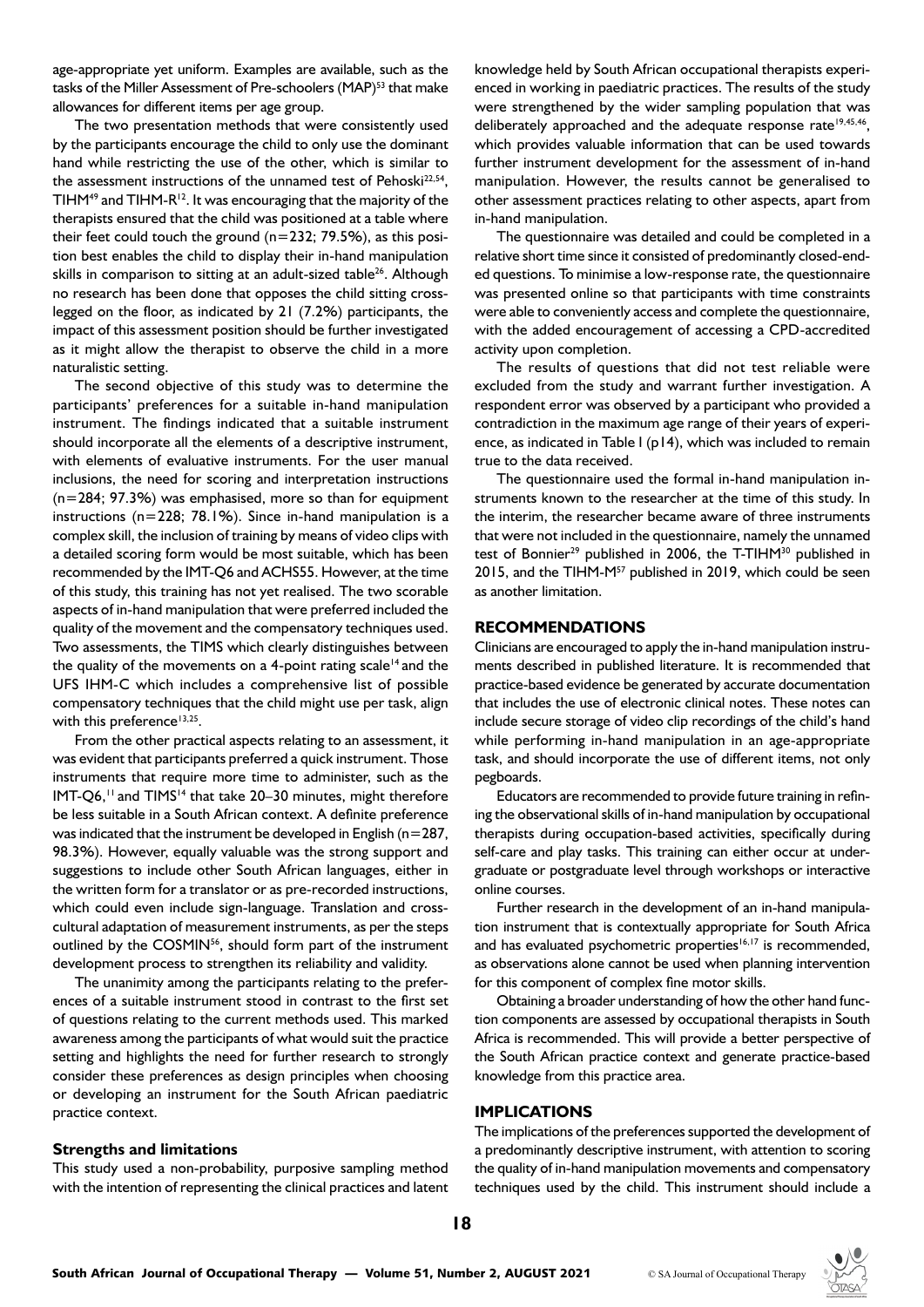age-appropriate yet uniform. Examples are available, such as the tasks of the Miller Assessment of Pre-schoolers (MAP)<sup>53</sup> that make allowances for different items per age group.

The two presentation methods that were consistently used by the participants encourage the child to only use the dominant hand while restricting the use of the other, which is similar to the assessment instructions of the unnamed test of Pehoski<sup>22,54</sup>, TIHM49 and TIHM-R12. It was encouraging that the majority of the therapists ensured that the child was positioned at a table where their feet could touch the ground  $(n=232; 79.5%)$ , as this position best enables the child to display their in-hand manipulation skills in comparison to sitting at an adult-sized table<sup>26</sup>. Although no research has been done that opposes the child sitting crosslegged on the floor, as indicated by 21 (7.2%) participants, the impact of this assessment position should be further investigated as it might allow the therapist to observe the child in a more naturalistic setting.

The second objective of this study was to determine the participants' preferences for a suitable in-hand manipulation instrument. The findings indicated that a suitable instrument should incorporate all the elements of a descriptive instrument, with elements of evaluative instruments. For the user manual inclusions, the need for scoring and interpretation instructions (n=284; 97.3%) was emphasised, more so than for equipment instructions (n=228; 78.1%). Since in-hand manipulation is a complex skill, the inclusion of training by means of video clips with a detailed scoring form would be most suitable, which has been recommended by the IMT-Q6 and ACHS55. However, at the time of this study, this training has not yet realised. The two scorable aspects of in-hand manipulation that were preferred included the quality of the movement and the compensatory techniques used. Two assessments, the TIMS which clearly distinguishes between the quality of the movements on a 4-point rating scale<sup>14</sup> and the UFS IHM-C which includes a comprehensive list of possible compensatory techniques that the child might use per task, align with this preference $13,25$ .

From the other practical aspects relating to an assessment, it was evident that participants preferred a quick instrument. Those instruments that require more time to administer, such as the IMT-Q6,<sup>11</sup> and TIMS<sup>14</sup> that take 20-30 minutes, might therefore be less suitable in a South African context. A definite preference was indicated that the instrument be developed in English ( $n=287$ , 98.3%). However, equally valuable was the strong support and suggestions to include other South African languages, either in the written form for a translator or as pre-recorded instructions, which could even include sign-language. Translation and crosscultural adaptation of measurement instruments, as per the steps outlined by the COSMIN<sup>56</sup>, should form part of the instrument development process to strengthen its reliability and validity.

The unanimity among the participants relating to the preferences of a suitable instrument stood in contrast to the first set of questions relating to the current methods used. This marked awareness among the participants of what would suit the practice setting and highlights the need for further research to strongly consider these preferences as design principles when choosing or developing an instrument for the South African paediatric practice context.

#### **Strengths and limitations**

This study used a non-probability, purposive sampling method with the intention of representing the clinical practices and latent knowledge held by South African occupational therapists experienced in working in paediatric practices. The results of the study were strengthened by the wider sampling population that was deliberately approached and the adequate response rate<sup>19,45,46</sup>, which provides valuable information that can be used towards further instrument development for the assessment of in-hand manipulation. However, the results cannot be generalised to other assessment practices relating to other aspects, apart from in-hand manipulation.

The questionnaire was detailed and could be completed in a relative short time since it consisted of predominantly closed-ended questions. To minimise a low-response rate, the questionnaire was presented online so that participants with time constraints were able to conveniently access and complete the questionnaire, with the added encouragement of accessing a CPD-accredited activity upon completion.

The results of questions that did not test reliable were excluded from the study and warrant further investigation. A respondent error was observed by a participant who provided a contradiction in the maximum age range of their years of experience, as indicated in Table I (p14), which was included to remain true to the data received.

The questionnaire used the formal in-hand manipulation instruments known to the researcher at the time of this study. In the interim, the researcher became aware of three instruments that were not included in the questionnaire, namely the unnamed test of Bonnier<sup>29</sup> published in 2006, the T-TIHM<sup>30</sup> published in 2015, and the TIHM-M<sup>57</sup> published in 2019, which could be seen as another limitation.

#### **RECOMMENDATIONS**

Clinicians are encouraged to apply the in-hand manipulation instruments described in published literature. It is recommended that practice-based evidence be generated by accurate documentation that includes the use of electronic clinical notes. These notes can include secure storage of video clip recordings of the child's hand while performing in-hand manipulation in an age-appropriate task, and should incorporate the use of different items, not only pegboards.

Educators are recommended to provide future training in refining the observational skills of in-hand manipulation by occupational therapists during occupation-based activities, specifically during self-care and play tasks. This training can either occur at undergraduate or postgraduate level through workshops or interactive online courses.

Further research in the development of an in-hand manipulation instrument that is contextually appropriate for South Africa and has evaluated psychometric properties<sup>16,17</sup> is recommended, as observations alone cannot be used when planning intervention for this component of complex fine motor skills.

Obtaining a broader understanding of how the other hand function components are assessed by occupational therapists in South Africa is recommended. This will provide a better perspective of the South African practice context and generate practice-based knowledge from this practice area.

#### **IMPLICATIONS**

The implications of the preferences supported the development of a predominantly descriptive instrument, with attention to scoring the quality of in-hand manipulation movements and compensatory techniques used by the child. This instrument should include a

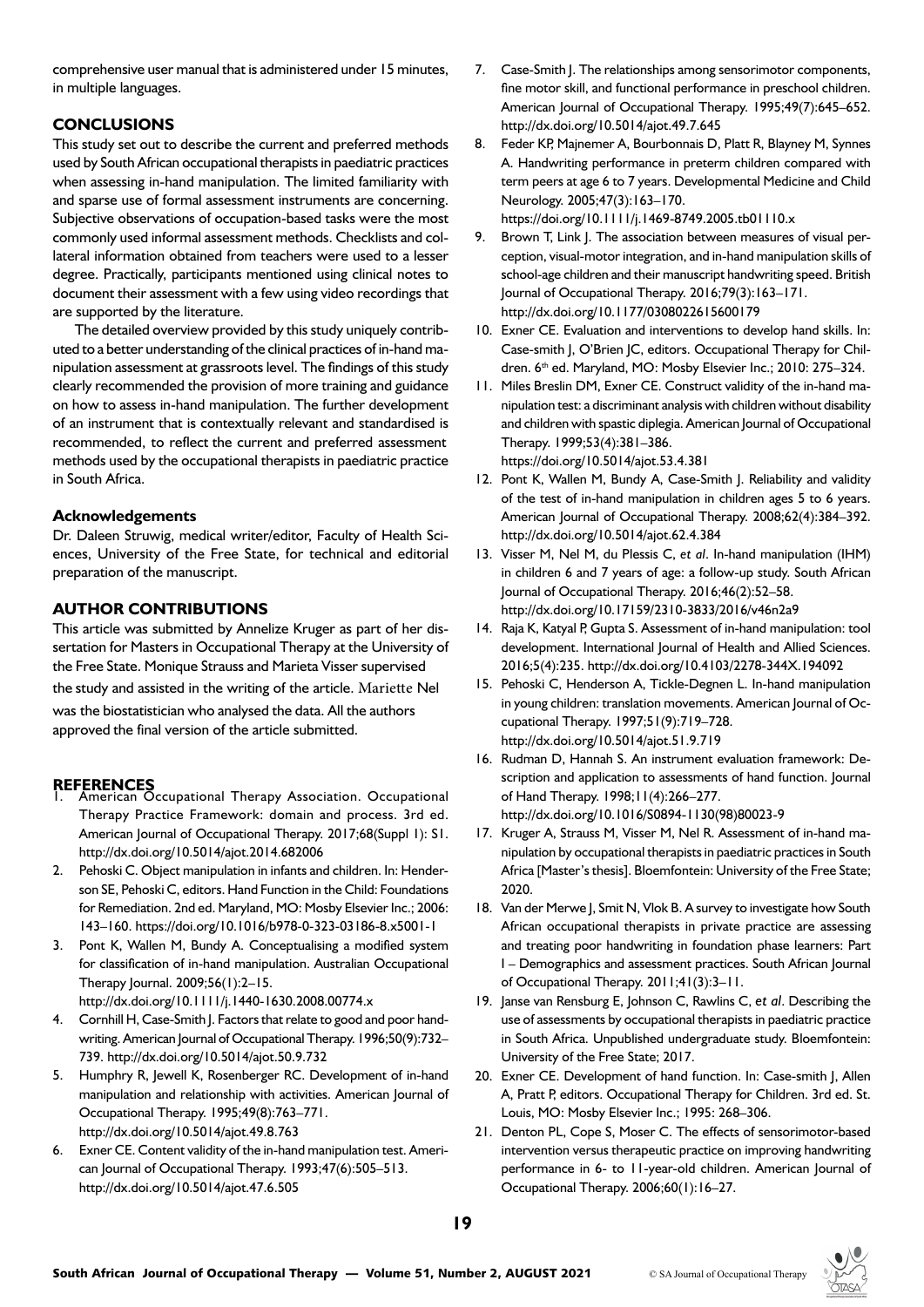comprehensive user manual that is administered under 15 minutes, in multiple languages.

# **CONCLUSIONS**

This study set out to describe the current and preferred methods used by South African occupational therapists in paediatric practices when assessing in-hand manipulation. The limited familiarity with and sparse use of formal assessment instruments are concerning. Subjective observations of occupation-based tasks were the most commonly used informal assessment methods. Checklists and collateral information obtained from teachers were used to a lesser degree. Practically, participants mentioned using clinical notes to document their assessment with a few using video recordings that are supported by the literature.

The detailed overview provided by this study uniquely contributed to a better understanding of the clinical practices of in-hand manipulation assessment at grassroots level. The findings of this study clearly recommended the provision of more training and guidance on how to assess in-hand manipulation. The further development of an instrument that is contextually relevant and standardised is recommended, to reflect the current and preferred assessment methods used by the occupational therapists in paediatric practice in South Africa.

# **Acknowledgements**

Dr. Daleen Struwig, medical writer/editor, Faculty of Health Sciences, University of the Free State, for technical and editorial preparation of the manuscript.

# **AUTHOR CONTRIBUTIONS**

This article was submitted by Annelize Kruger as part of her dissertation for Masters in Occupational Therapy at the University of the Free State. Monique Strauss and Marieta Visser supervised

the study and assisted in the writing of the article. Mariette Nel

was the biostatistician who analysed the data. All the authors approved the final version of the article submitted.

- **REFERENCES** 1. American Occupational Therapy Association. Occupational Therapy Practice Framework: domain and process. 3rd ed. American Journal of Occupational Therapy. 2017;68(Suppl 1): S1. <http://dx.doi.org/10.5014/ajot.2014.682006>
- 2. Pehoski C. Object manipulation in infants and children. In: Henderson SE, Pehoski C, editors. Hand Function in the Child: Foundations for Remediation. 2nd ed. Maryland, MO: Mosby Elsevier Inc.; 2006: 143–160.<https://doi.org/10.1016/b978-0-323-03186-8.x5001-1>
- 3. Pont K, Wallen M, Bundy A. Conceptualising a modified system for classification of in-hand manipulation. Australian Occupational Therapy Journal. 2009;56(1):2–15.
	- <http://dx.doi.org/10.1111/j.1440-1630.2008.00774.x>
- 4. Cornhill H, Case-Smith J. Factors that relate to good and poor handwriting. American Journal of Occupational Therapy. 1996;50(9):732– 739.<http://dx.doi.org/10.5014/ajot.50.9.732>
- 5. Humphry R, Jewell K, Rosenberger RC. Development of in-hand manipulation and relationship with activities. American Journal of Occupational Therapy. 1995;49(8):763–771. <http://dx.doi.org/10.5014/ajot.49.8.763>
- 6. Exner CE. Content validity of the in-hand manipulation test. American Journal of Occupational Therapy. 1993;47(6):505–513. <http://dx.doi.org/10.5014/ajot.47.6.505>
- 7. Case-Smith J. The relationships among sensorimotor components, fine motor skill, and functional performance in preschool children. American Journal of Occupational Therapy. 1995;49(7):645–652. <http://dx.doi.org/10.5014/ajot.49.7.645>
- 8. Feder KP, Majnemer A, Bourbonnais D, Platt R, Blayney M, Synnes A. Handwriting performance in preterm children compared with term peers at age 6 to 7 years. Developmental Medicine and Child Neurology. 2005;47(3):163–170. <https://doi.org/10.1111/j.1469-8749.2005.tb01110.x>
- 9. Brown T, Link J. The association between measures of visual perception, visual-motor integration, and in-hand manipulation skills of school-age children and their manuscript handwriting speed. British Journal of Occupational Therapy. 2016;79(3):163–171. <http://dx.doi.org/10.1177/0308022615600179>
- 10. Exner CE. Evaluation and interventions to develop hand skills. In: Case-smith J, O'Brien JC, editors. Occupational Therapy for Children. 6<sup>th</sup> ed. Maryland, MO: Mosby Elsevier Inc.; 2010: 275-324.
- 11. Miles Breslin DM, Exner CE. Construct validity of the in-hand manipulation test: a discriminant analysis with children without disability and children with spastic diplegia. American Journal of Occupational Therapy. 1999;53(4):381–386. [https://doi.org/10.5014/ajot.53.4.381](file:///H:/Occupational%20Therapy%20AUGUST%202021.indd/%20https://doi.org/10.5014/ajot.53.4.381 )
- 12. Pont K, Wallen M, Bundy A, Case-Smith J. Reliability and validity of the test of in-hand manipulation in children ages 5 to 6 years. American Journal of Occupational Therapy. 2008;62(4):384–392. <http://dx.doi.org/10.5014/ajot.62.4.384>
- 13. Visser M, Nel M, du Plessis C, *et al*. In-hand manipulation (IHM) in children 6 and 7 years of age: a follow-up study. South African Journal of Occupational Therapy. 2016;46(2):52–58. <http://dx.doi.org/10.17159/2310-3833/2016/v46n2a9>
- 14. Raja K, Katyal P, Gupta S. Assessment of in-hand manipulation: tool development. International Journal of Health and Allied Sciences. 2016;5(4):235. <http://dx.doi.org/10.4103/2278-344X.194092>
- 15. Pehoski C, Henderson A, Tickle-Degnen L. In-hand manipulation in young children: translation movements. American Journal of Occupational Therapy. 1997;51(9):719–728. <http://dx.doi.org/10.5014/ajot.51.9.719>
- 16. Rudman D, Hannah S. An instrument evaluation framework: Description and application to assessments of hand function. Journal of Hand Therapy. 1998;11(4):266–277. [http://dx.doi.org/10.1016/S0894-1130\(98\)80023-9](http://dx.doi.org/10.1016/S0894-1130(98)80023-9)
- 17. Kruger A, Strauss M, Visser M, Nel R. Assessment of in-hand manipulation by occupational therapists in paediatric practices in South Africa [Master's thesis]. Bloemfontein: University of the Free State; 2020.
- 18. Van der Merwe J, Smit N, Vlok B. A survey to investigate how South African occupational therapists in private practice are assessing and treating poor handwriting in foundation phase learners: Part I – Demographics and assessment practices. South African Journal of Occupational Therapy. 2011;41(3):3–11.
- 19. Janse van Rensburg E, Johnson C, Rawlins C, *et al*. Describing the use of assessments by occupational therapists in paediatric practice in South Africa. Unpublished undergraduate study. Bloemfontein: University of the Free State; 2017.
- 20. Exner CE. Development of hand function. In: Case-smith J, Allen A, Pratt P, editors. Occupational Therapy for Children. 3rd ed. St. Louis, MO: Mosby Elsevier Inc.; 1995: 268–306.
- 21. Denton PL, Cope S, Moser C. The effects of sensorimotor-based intervention versus therapeutic practice on improving handwriting performance in 6- to 11-year-old children. American Journal of Occupational Therapy. 2006;60(1):16–27.

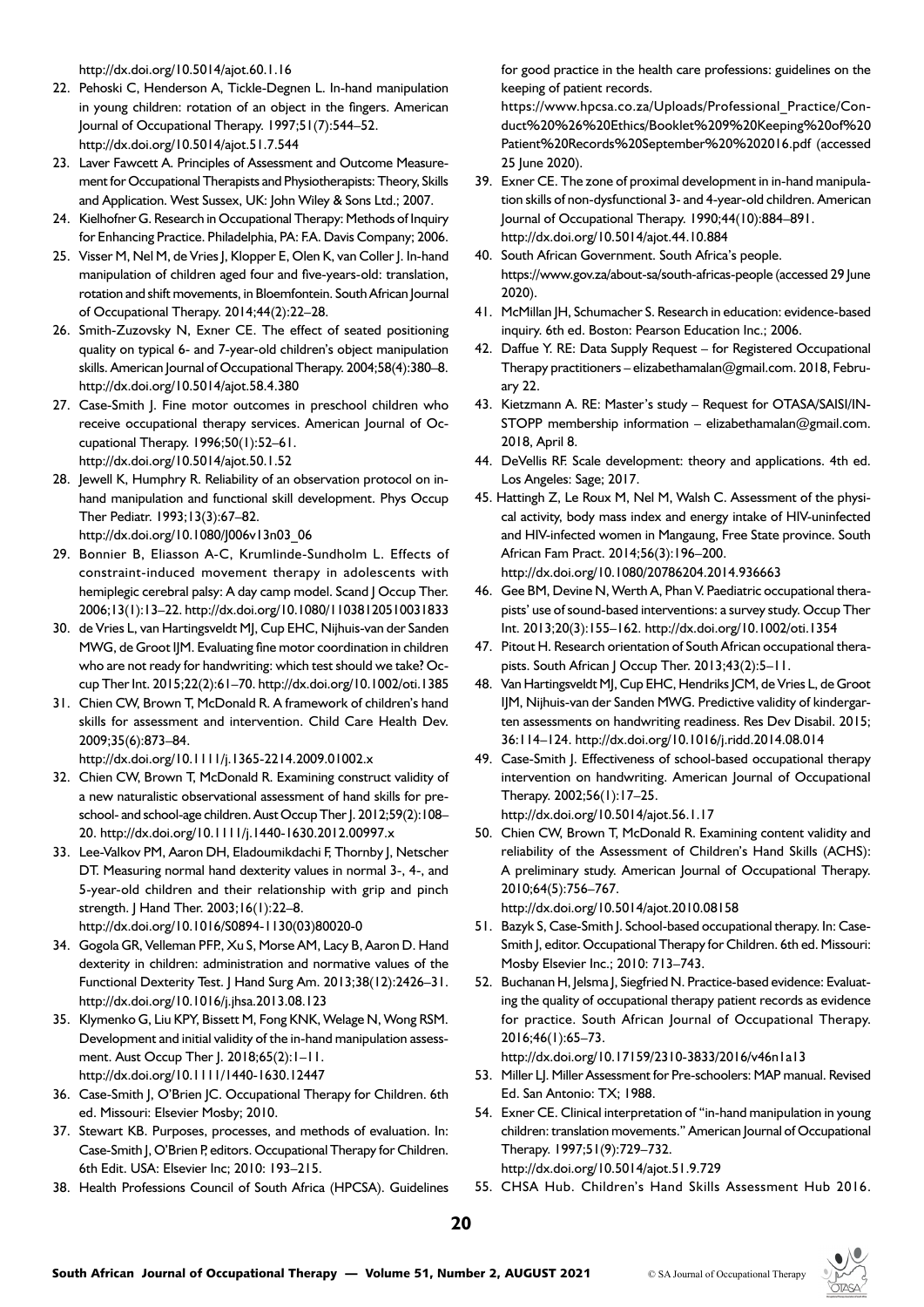<http://dx.doi.org/10.5014/ajot.60.1.16>

- 22. Pehoski C, Henderson A, Tickle-Degnen L. In-hand manipulation in young children: rotation of an object in the fingers. American Journal of Occupational Therapy. 1997;51(7):544–52. <http://dx.doi.org/10.5014/ajot.51.7.544>
- 23. Laver Fawcett A. Principles of Assessment and Outcome Measurement for Occupational Therapists and Physiotherapists: Theory, Skills and Application. West Sussex, UK: John Wiley & Sons Ltd.; 2007.
- 24. Kielhofner G. Research in Occupational Therapy: Methods of Inquiry for Enhancing Practice. Philadelphia, PA: F.A. Davis Company; 2006.
- 25. Visser M, Nel M, de Vries J, Klopper E, Olen K, van Coller J. In-hand manipulation of children aged four and five-years-old: translation, rotation and shift movements, in Bloemfontein. South African Journal of Occupational Therapy. 2014;44(2):22–28.
- 26. Smith-Zuzovsky N, Exner CE. The effect of seated positioning quality on typical 6- and 7-year-old children's object manipulation skills. American Journal of Occupational Therapy. 2004;58(4):380–8. <http://dx.doi.org/10.5014/ajot.58.4.380>
- 27. Case-Smith J. Fine motor outcomes in preschool children who receive occupational therapy services. American Journal of Occupational Therapy. 1996;50(1):52–61. <http://dx.doi.org/10.5014/ajot.50.1.52>
- 28. Jewell K, Humphry R. Reliability of an observation protocol on inhand manipulation and functional skill development. Phys Occup Ther Pediatr. 1993;13(3):67–82.

[http://dx.doi.org/10.1080/J006v13n03\\_06](http://dx.doi.org/10.1080/J006v13n03_06)

- 29. Bonnier B, Eliasson A-C, Krumlinde-Sundholm L. Effects of constraint-induced movement therapy in adolescents with hemiplegic cerebral palsy: A day camp model. Scand J Occup Ther. 2006;13(1):13–22.<http://dx.doi.org/10.1080/11038120510031833>
- 30. de Vries L, van Hartingsveldt MJ, Cup EHC, Nijhuis-van der Sanden MWG, de Groot IJM. Evaluating fine motor coordination in children who are not ready for handwriting: which test should we take? Occup Ther Int. 2015;22(2):61–70.<http://dx.doi.org/10.1002/oti.1385>
- 31. Chien CW, Brown T, McDonald R. A framework of children's hand skills for assessment and intervention. Child Care Health Dev. 2009;35(6):873–84.

<http://dx.doi.org/10.1111/j.1365-2214.2009.01002.x>

- 32. Chien CW, Brown T, McDonald R. Examining construct validity of a new naturalistic observational assessment of hand skills for preschool- and school-age children. Aust Occup Ther J. 2012;59(2):108-20.<http://dx.doi.org/10.1111/j.1440-1630.2012.00997.x>
- 33. Lee-Valkov PM, Aaron DH, Eladoumikdachi F, Thornby J, Netscher DT. Measuring normal hand dexterity values in normal 3-, 4-, and 5-year-old children and their relationship with grip and pinch strength. J Hand Ther. 2003;16(1):22–8. [http://dx.doi.org/10.1016/S0894-1130\(03\)80020-0](http://dx.doi.org/10.1016/S0894-1130(03)80020-0)
- 34. Gogola GR, Velleman PFP., Xu S, Morse AM, Lacy B, Aaron D. Hand dexterity in children: administration and normative values of the Functional Dexterity Test. J Hand Surg Am. 2013;38(12):2426–31. <http://dx.doi.org/10.1016/j.jhsa.2013.08.123>
- 35. Klymenko G, Liu KPY, Bissett M, Fong KNK, Welage N, Wong RSM. Development and initial validity of the in-hand manipulation assessment. Aust Occup Ther J. 2018;65(2): I-II. <http://dx.doi.org/10.1111/1440-1630.12447>
- 36. Case-Smith J, O'Brien JC. Occupational Therapy for Children. 6th ed. Missouri: Elsevier Mosby; 2010.
- 37. Stewart KB. Purposes, processes, and methods of evaluation. In: Case-Smith J, O'Brien P, editors. Occupational Therapy for Children. 6th Edit. USA: Elsevier Inc; 2010: 193–215.
- 38. Health Professions Council of South Africa (HPCSA). Guidelines

for good practice in the health care professions: guidelines on the keeping of patient records.

https://www.hpcsa.co.za/Uploads/Professional\_Practice/Conduct%20%26%20Ethics/Booklet%209%20Keeping%20of%20 Patient%20Records%20September%20%202016.pdf (accessed 25 June 2020).

- 39. Exner CE. The zone of proximal development in in-hand manipulation skills of non-dysfunctional 3- and 4-year-old children. American Journal of Occupational Therapy. 1990;44(10):884–891. <http://dx.doi.org/10.5014/ajot.44.10.884>
- 40. South African Government. South Africa's people. https://www.gov.za/about-sa/south-africas-people (accessed 29 June 2020).
- 41. McMillan JH, Schumacher S. Research in education: evidence-based inquiry. 6th ed. Boston: Pearson Education Inc.; 2006.
- 42. Daffue Y. RE: Data Supply Request for Registered Occupational Therapy practitioners – elizabethamalan@gmail.com. 2018, February 22.
- 43. Kietzmann A. RE: Master's study Request for OTASA/SAISI/IN-STOPP membership information – elizabethamalan@gmail.com. 2018, April 8.
- 44. DeVellis RF. Scale development: theory and applications. 4th ed. Los Angeles: Sage; 2017.
- 45. Hattingh Z, Le Roux M, Nel M, Walsh C. Assessment of the physical activity, body mass index and energy intake of HIV-uninfected and HIV-infected women in Mangaung, Free State province. South African Fam Pract. 2014;56(3):196–200. <http://dx.doi.org/10.1080/20786204.2014.936663>
- 46. Gee BM, Devine N, Werth A, Phan V. Paediatric occupational therapists' use of sound-based interventions: a survey study. Occup Ther Int. 2013;20(3):155–162. <http://dx.doi.org/10.1002/oti.1354>
- 47. Pitout H. Research orientation of South African occupational therapists. South African J Occup Ther. 2013;43(2):5-11.
- 48. Van Hartingsveldt MJ, Cup EHC, Hendriks JCM, de Vries L, de Groot IJM, Nijhuis-van der Sanden MWG. Predictive validity of kindergarten assessments on handwriting readiness. Res Dev Disabil. 2015; 36:114–124. <http://dx.doi.org/10.1016/j.ridd.2014.08.014>
- 49. Case-Smith J. Effectiveness of school-based occupational therapy intervention on handwriting. American Journal of Occupational Therapy. 2002;56(1):17–25. <http://dx.doi.org/10.5014/ajot.56.1.17>
- 50. Chien CW, Brown T, McDonald R. Examining content validity and reliability of the Assessment of Children's Hand Skills (ACHS): A preliminary study. American Journal of Occupational Therapy. 2010;64(5):756–767.

<http://dx.doi.org/10.5014/ajot.2010.08158>

- 51. Bazyk S, Case-Smith J. School-based occupational therapy. In: Case-Smith J, editor. Occupational Therapy for Children. 6th ed. Missouri: Mosby Elsevier Inc.; 2010: 713–743.
- 52. Buchanan H, Jelsma J, Siegfried N. Practice-based evidence: Evaluating the quality of occupational therapy patient records as evidence for practice. South African Journal of Occupational Therapy. 2016;46(1):65–73.

<http://dx.doi.org/10.17159/2310-3833/2016/v46n1a13>

- 53. Miller LJ. Miller Assessment for Pre-schoolers: MAP manual. Revised Ed. San Antonio: TX; 1988.
- 54. Exner CE. Clinical interpretation of "in-hand manipulation in young children: translation movements." American Journal of Occupational Therapy. 1997;51(9):729–732. <http://dx.doi.org/10.5014/ajot.51.9.729>
- 55. CHSA Hub. Children's Hand Skills Assessment Hub 2016.